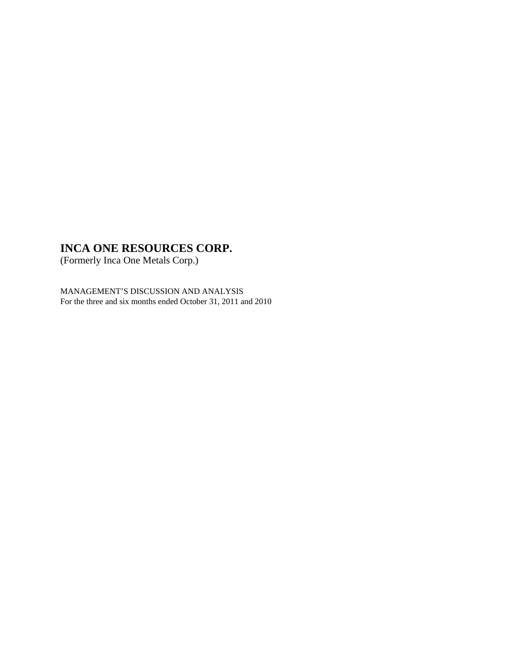(Formerly Inca One Metals Corp.)

MANAGEMENT'S DISCUSSION AND ANALYSIS For the three and six months ended October 31, 2011 and 2010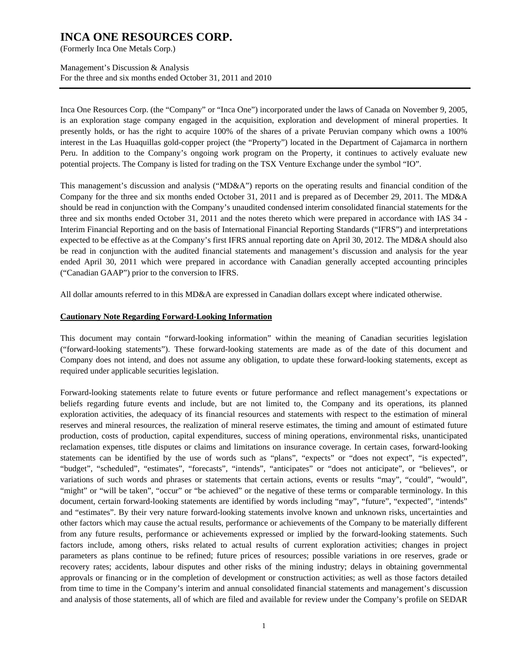(Formerly Inca One Metals Corp.)

Management's Discussion & Analysis For the three and six months ended October 31, 2011 and 2010

Inca One Resources Corp. (the "Company" or "Inca One") incorporated under the laws of Canada on November 9, 2005, is an exploration stage company engaged in the acquisition, exploration and development of mineral properties. It presently holds, or has the right to acquire 100% of the shares of a private Peruvian company which owns a 100% interest in the Las Huaquillas gold-copper project (the "Property") located in the Department of Cajamarca in northern Peru. In addition to the Company's ongoing work program on the Property, it continues to actively evaluate new potential projects. The Company is listed for trading on the TSX Venture Exchange under the symbol "IO".

This management's discussion and analysis ("MD&A") reports on the operating results and financial condition of the Company for the three and six months ended October 31, 2011 and is prepared as of December 29, 2011. The MD&A should be read in conjunction with the Company's unaudited condensed interim consolidated financial statements for the three and six months ended October 31, 2011 and the notes thereto which were prepared in accordance with IAS 34 - Interim Financial Reporting and on the basis of International Financial Reporting Standards ("IFRS") and interpretations expected to be effective as at the Company's first IFRS annual reporting date on April 30, 2012. The MD&A should also be read in conjunction with the audited financial statements and management's discussion and analysis for the year ended April 30, 2011 which were prepared in accordance with Canadian generally accepted accounting principles ("Canadian GAAP") prior to the conversion to IFRS.

All dollar amounts referred to in this MD&A are expressed in Canadian dollars except where indicated otherwise.

#### **Cautionary Note Regarding Forward-Looking Information**

This document may contain "forward-looking information" within the meaning of Canadian securities legislation ("forward-looking statements"). These forward-looking statements are made as of the date of this document and Company does not intend, and does not assume any obligation, to update these forward-looking statements, except as required under applicable securities legislation.

Forward-looking statements relate to future events or future performance and reflect management's expectations or beliefs regarding future events and include, but are not limited to, the Company and its operations, its planned exploration activities, the adequacy of its financial resources and statements with respect to the estimation of mineral reserves and mineral resources, the realization of mineral reserve estimates, the timing and amount of estimated future production, costs of production, capital expenditures, success of mining operations, environmental risks, unanticipated reclamation expenses, title disputes or claims and limitations on insurance coverage. In certain cases, forward-looking statements can be identified by the use of words such as "plans", "expects" or "does not expect", "is expected", "budget", "scheduled", "estimates", "forecasts", "intends", "anticipates" or "does not anticipate", or "believes", or variations of such words and phrases or statements that certain actions, events or results "may", "could", "would", "might" or "will be taken", "occur" or "be achieved" or the negative of these terms or comparable terminology. In this document, certain forward-looking statements are identified by words including "may", "future", "expected", "intends" and "estimates". By their very nature forward-looking statements involve known and unknown risks, uncertainties and other factors which may cause the actual results, performance or achievements of the Company to be materially different from any future results, performance or achievements expressed or implied by the forward-looking statements. Such factors include, among others, risks related to actual results of current exploration activities; changes in project parameters as plans continue to be refined; future prices of resources; possible variations in ore reserves, grade or recovery rates; accidents, labour disputes and other risks of the mining industry; delays in obtaining governmental approvals or financing or in the completion of development or construction activities; as well as those factors detailed from time to time in the Company's interim and annual consolidated financial statements and management's discussion and analysis of those statements, all of which are filed and available for review under the Company's profile on SEDAR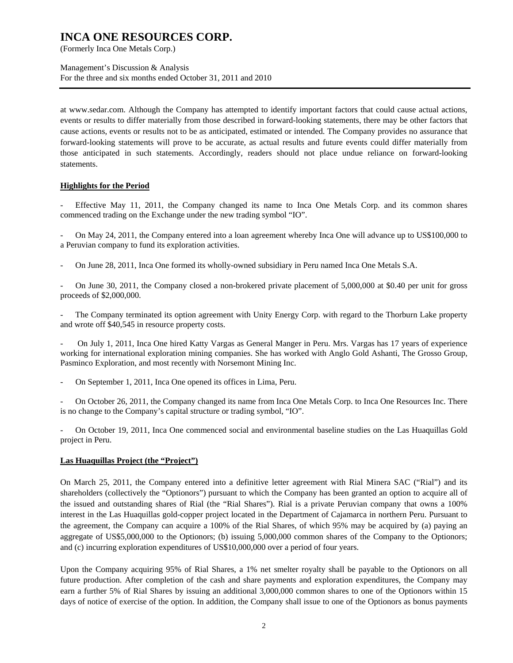(Formerly Inca One Metals Corp.)

Management's Discussion & Analysis For the three and six months ended October 31, 2011 and 2010

at www.sedar.com. Although the Company has attempted to identify important factors that could cause actual actions, events or results to differ materially from those described in forward-looking statements, there may be other factors that cause actions, events or results not to be as anticipated, estimated or intended. The Company provides no assurance that forward-looking statements will prove to be accurate, as actual results and future events could differ materially from those anticipated in such statements. Accordingly, readers should not place undue reliance on forward-looking statements.

### **Highlights for the Period**

Effective May 11, 2011, the Company changed its name to Inca One Metals Corp. and its common shares commenced trading on the Exchange under the new trading symbol "IO".

- On May 24, 2011, the Company entered into a loan agreement whereby Inca One will advance up to US\$100,000 to a Peruvian company to fund its exploration activities.

- On June 28, 2011, Inca One formed its wholly-owned subsidiary in Peru named Inca One Metals S.A.

On June 30, 2011, the Company closed a non-brokered private placement of 5,000,000 at \$0.40 per unit for gross proceeds of \$2,000,000.

The Company terminated its option agreement with Unity Energy Corp. with regard to the Thorburn Lake property and wrote off \$40,545 in resource property costs.

- On July 1, 2011, Inca One hired Katty Vargas as General Manger in Peru. Mrs. Vargas has 17 years of experience working for international exploration mining companies. She has worked with Anglo Gold Ashanti, The Grosso Group, Pasminco Exploration, and most recently with Norsemont Mining Inc.

- On September 1, 2011, Inca One opened its offices in Lima, Peru.

- On October 26, 2011, the Company changed its name from Inca One Metals Corp. to Inca One Resources Inc. There is no change to the Company's capital structure or trading symbol, "IO".

- On October 19, 2011, Inca One commenced social and environmental baseline studies on the Las Huaquillas Gold project in Peru.

#### **Las Huaquillas Project (the "Project")**

On March 25, 2011, the Company entered into a definitive letter agreement with Rial Minera SAC ("Rial") and its shareholders (collectively the "Optionors") pursuant to which the Company has been granted an option to acquire all of the issued and outstanding shares of Rial (the "Rial Shares"). Rial is a private Peruvian company that owns a 100% interest in the Las Huaquillas gold-copper project located in the Department of Cajamarca in northern Peru. Pursuant to the agreement, the Company can acquire a 100% of the Rial Shares, of which 95% may be acquired by (a) paying an aggregate of US\$5,000,000 to the Optionors; (b) issuing 5,000,000 common shares of the Company to the Optionors; and (c) incurring exploration expenditures of US\$10,000,000 over a period of four years.

Upon the Company acquiring 95% of Rial Shares, a 1% net smelter royalty shall be payable to the Optionors on all future production. After completion of the cash and share payments and exploration expenditures, the Company may earn a further 5% of Rial Shares by issuing an additional 3,000,000 common shares to one of the Optionors within 15 days of notice of exercise of the option. In addition, the Company shall issue to one of the Optionors as bonus payments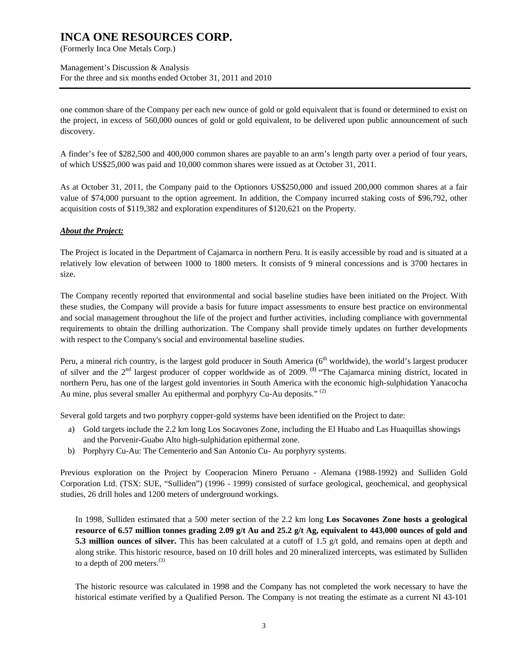(Formerly Inca One Metals Corp.)

Management's Discussion & Analysis For the three and six months ended October 31, 2011 and 2010

one common share of the Company per each new ounce of gold or gold equivalent that is found or determined to exist on the project, in excess of 560,000 ounces of gold or gold equivalent, to be delivered upon public announcement of such discovery.

A finder's fee of \$282,500 and 400,000 common shares are payable to an arm's length party over a period of four years, of which US\$25,000 was paid and 10,000 common shares were issued as at October 31, 2011.

As at October 31, 2011, the Company paid to the Optionors US\$250,000 and issued 200,000 common shares at a fair value of \$74,000 pursuant to the option agreement. In addition, the Company incurred staking costs of \$96,792, other acquisition costs of \$119,382 and exploration expenditures of \$120,621 on the Property.

### *About the Project:*

The Project is located in the Department of Cajamarca in northern Peru. It is easily accessible by road and is situated at a relatively low elevation of between 1000 to 1800 meters. It consists of 9 mineral concessions and is 3700 hectares in size.

The Company recently reported that environmental and social baseline studies have been initiated on the Project. With these studies, the Company will provide a basis for future impact assessments to ensure best practice on environmental and social management throughout the life of the project and further activities, including compliance with governmental requirements to obtain the drilling authorization. The Company shall provide timely updates on further developments with respect to the Company's social and environmental baseline studies.

Peru, a mineral rich country, is the largest gold producer in South America ( $6<sup>th</sup>$  worldwide), the world's largest producer of silver and the 2nd largest producer of copper worldwide as of 2009. **(1)** "The Cajamarca mining district, located in northern Peru, has one of the largest gold inventories in South America with the economic high-sulphidation Yanacocha Au mine, plus several smaller Au epithermal and porphyry Cu-Au deposits."<sup>(2)</sup>

Several gold targets and two porphyry copper-gold systems have been identified on the Project to date:

- a) Gold targets include the 2.2 km long Los Socavones Zone, including the El Huabo and Las Huaquillas showings and the Porvenir-Guabo Alto high-sulphidation epithermal zone.
- b) Porphyry Cu-Au: The Cementerio and San Antonio Cu- Au porphyry systems.

Previous exploration on the Project by Cooperacion Minero Peruano - Alemana (1988-1992) and Sulliden Gold Corporation Ltd. (TSX: SUE, "Sulliden") (1996 - 1999) consisted of surface geological, geochemical, and geophysical studies, 26 drill holes and 1200 meters of underground workings.

In 1998, Sulliden estimated that a 500 meter section of the 2.2 km long **Los Socavones Zone hosts a geological resource of 6.57 million tonnes grading 2.09 g/t Au and 25.2 g/t Ag, equivalent to 443,000 ounces of gold and 5.3 million ounces of silver.** This has been calculated at a cutoff of 1.5 g/t gold, and remains open at depth and along strike. This historic resource, based on 10 drill holes and 20 mineralized intercepts, was estimated by Sulliden to a depth of 200 meters.*(3)* 

The historic resource was calculated in 1998 and the Company has not completed the work necessary to have the historical estimate verified by a Qualified Person. The Company is not treating the estimate as a current NI 43-101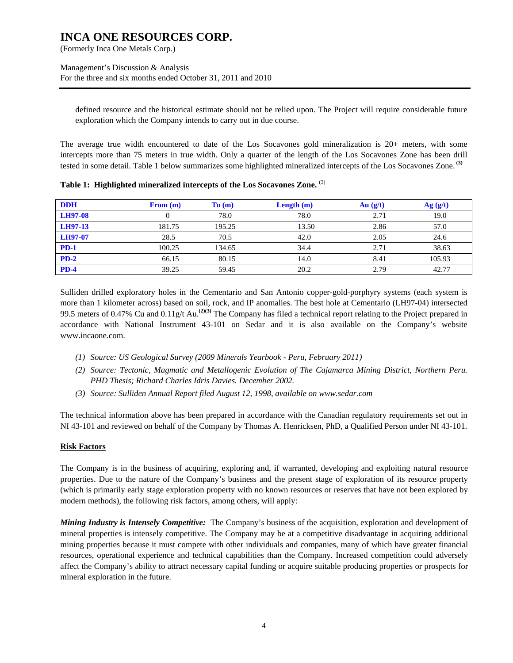(Formerly Inca One Metals Corp.)

Management's Discussion & Analysis For the three and six months ended October 31, 2011 and 2010

defined resource and the historical estimate should not be relied upon. The Project will require considerable future exploration which the Company intends to carry out in due course.

The average true width encountered to date of the Los Socavones gold mineralization is 20+ meters, with some intercepts more than 75 meters in true width. Only a quarter of the length of the Los Socavones Zone has been drill tested in some detail. Table 1 below summarizes some highlighted mineralized intercepts of the Los Socavones Zone. **(3)**

| <b>DDH</b>     | From (m) | To(m)  | Length $(m)$ | Au(g/t) | Ag(g/t) |
|----------------|----------|--------|--------------|---------|---------|
| <b>LH97-08</b> |          | 78.0   | 78.0         | 2.71    | 19.0    |
| LH97-13        | 181.75   | 195.25 | 13.50        | 2.86    | 57.0    |
| LH97-07        | 28.5     | 70.5   | 42.0         | 2.05    | 24.6    |
| $PD-1$         | 100.25   | 134.65 | 34.4         | 2.71    | 38.63   |
| $PD-2$         | 66.15    | 80.15  | 14.0         | 8.41    | 105.93  |
| $PD-4$         | 39.25    | 59.45  | 20.2         | 2.79    | 42.77   |

**Table 1: Highlighted mineralized intercepts of the Los Socavones Zone.** (3)

Sulliden drilled exploratory holes in the Cementario and San Antonio copper-gold-porphyry systems (each system is more than 1 kilometer across) based on soil, rock, and IP anomalies. The best hole at Cementario (LH97-04) intersected 99.5 meters of 0.47% Cu and 0.11g/t Au.**(2)(3)** The Company has filed a technical report relating to the Project prepared in accordance with National Instrument 43-101 on Sedar and it is also available on the Company's website www.incaone.com.

- *(1) Source: US Geological Survey (2009 Minerals Yearbook Peru, February 2011)*
- *(2) Source: Tectonic, Magmatic and Metallogenic Evolution of The Cajamarca Mining District, Northern Peru. PHD Thesis; Richard Charles Idris Davies. December 2002.*
- *(3) Source: Sulliden Annual Report filed August 12, 1998, available on www.sedar.com*

The technical information above has been prepared in accordance with the Canadian regulatory requirements set out in NI 43-101 and reviewed on behalf of the Company by Thomas A. Henricksen, PhD, a Qualified Person under NI 43-101.

### **Risk Factors**

The Company is in the business of acquiring, exploring and, if warranted, developing and exploiting natural resource properties. Due to the nature of the Company's business and the present stage of exploration of its resource property (which is primarily early stage exploration property with no known resources or reserves that have not been explored by modern methods), the following risk factors, among others, will apply:

*Mining Industry is Intensely Competitive:* The Company's business of the acquisition, exploration and development of mineral properties is intensely competitive. The Company may be at a competitive disadvantage in acquiring additional mining properties because it must compete with other individuals and companies, many of which have greater financial resources, operational experience and technical capabilities than the Company. Increased competition could adversely affect the Company's ability to attract necessary capital funding or acquire suitable producing properties or prospects for mineral exploration in the future.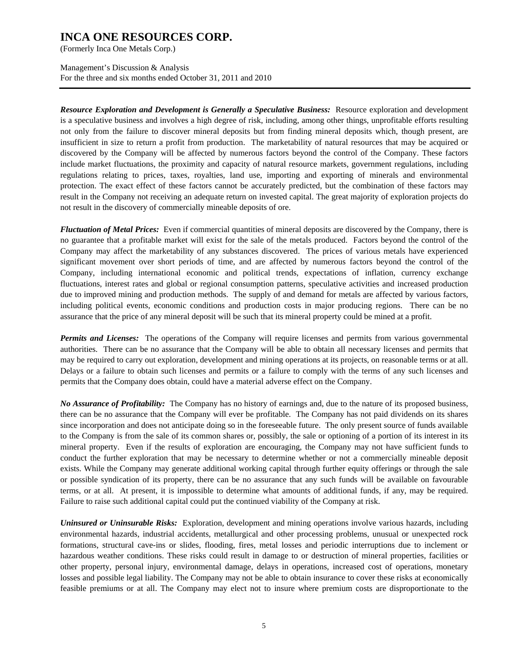(Formerly Inca One Metals Corp.)

Management's Discussion & Analysis For the three and six months ended October 31, 2011 and 2010

*Resource Exploration and Development is Generally a Speculative Business:* Resource exploration and development is a speculative business and involves a high degree of risk, including, among other things, unprofitable efforts resulting not only from the failure to discover mineral deposits but from finding mineral deposits which, though present, are insufficient in size to return a profit from production. The marketability of natural resources that may be acquired or discovered by the Company will be affected by numerous factors beyond the control of the Company. These factors include market fluctuations, the proximity and capacity of natural resource markets, government regulations, including regulations relating to prices, taxes, royalties, land use, importing and exporting of minerals and environmental protection. The exact effect of these factors cannot be accurately predicted, but the combination of these factors may result in the Company not receiving an adequate return on invested capital. The great majority of exploration projects do not result in the discovery of commercially mineable deposits of ore.

*Fluctuation of Metal Prices:* Even if commercial quantities of mineral deposits are discovered by the Company, there is no guarantee that a profitable market will exist for the sale of the metals produced. Factors beyond the control of the Company may affect the marketability of any substances discovered. The prices of various metals have experienced significant movement over short periods of time, and are affected by numerous factors beyond the control of the Company, including international economic and political trends, expectations of inflation, currency exchange fluctuations, interest rates and global or regional consumption patterns, speculative activities and increased production due to improved mining and production methods. The supply of and demand for metals are affected by various factors, including political events, economic conditions and production costs in major producing regions. There can be no assurance that the price of any mineral deposit will be such that its mineral property could be mined at a profit.

*Permits and Licenses:* The operations of the Company will require licenses and permits from various governmental authorities. There can be no assurance that the Company will be able to obtain all necessary licenses and permits that may be required to carry out exploration, development and mining operations at its projects, on reasonable terms or at all. Delays or a failure to obtain such licenses and permits or a failure to comply with the terms of any such licenses and permits that the Company does obtain, could have a material adverse effect on the Company.

*No Assurance of Profitability:* The Company has no history of earnings and, due to the nature of its proposed business, there can be no assurance that the Company will ever be profitable. The Company has not paid dividends on its shares since incorporation and does not anticipate doing so in the foreseeable future. The only present source of funds available to the Company is from the sale of its common shares or, possibly, the sale or optioning of a portion of its interest in its mineral property. Even if the results of exploration are encouraging, the Company may not have sufficient funds to conduct the further exploration that may be necessary to determine whether or not a commercially mineable deposit exists. While the Company may generate additional working capital through further equity offerings or through the sale or possible syndication of its property, there can be no assurance that any such funds will be available on favourable terms, or at all. At present, it is impossible to determine what amounts of additional funds, if any, may be required. Failure to raise such additional capital could put the continued viability of the Company at risk.

*Uninsured or Uninsurable Risks:* Exploration, development and mining operations involve various hazards, including environmental hazards, industrial accidents, metallurgical and other processing problems, unusual or unexpected rock formations, structural cave-ins or slides, flooding, fires, metal losses and periodic interruptions due to inclement or hazardous weather conditions. These risks could result in damage to or destruction of mineral properties, facilities or other property, personal injury, environmental damage, delays in operations, increased cost of operations, monetary losses and possible legal liability. The Company may not be able to obtain insurance to cover these risks at economically feasible premiums or at all. The Company may elect not to insure where premium costs are disproportionate to the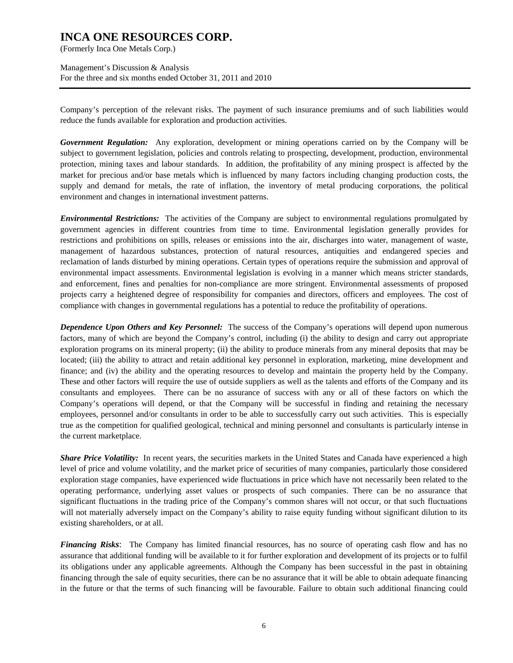(Formerly Inca One Metals Corp.)

Management's Discussion & Analysis For the three and six months ended October 31, 2011 and 2010

Company's perception of the relevant risks. The payment of such insurance premiums and of such liabilities would reduce the funds available for exploration and production activities.

*Government Regulation:* Any exploration, development or mining operations carried on by the Company will be subject to government legislation, policies and controls relating to prospecting, development, production, environmental protection, mining taxes and labour standards. In addition, the profitability of any mining prospect is affected by the market for precious and/or base metals which is influenced by many factors including changing production costs, the supply and demand for metals, the rate of inflation, the inventory of metal producing corporations, the political environment and changes in international investment patterns.

*Environmental Restrictions:* The activities of the Company are subject to environmental regulations promulgated by government agencies in different countries from time to time. Environmental legislation generally provides for restrictions and prohibitions on spills, releases or emissions into the air, discharges into water, management of waste, management of hazardous substances, protection of natural resources, antiquities and endangered species and reclamation of lands disturbed by mining operations. Certain types of operations require the submission and approval of environmental impact assessments. Environmental legislation is evolving in a manner which means stricter standards, and enforcement, fines and penalties for non-compliance are more stringent. Environmental assessments of proposed projects carry a heightened degree of responsibility for companies and directors, officers and employees. The cost of compliance with changes in governmental regulations has a potential to reduce the profitability of operations.

*Dependence Upon Others and Key Personnel:* The success of the Company's operations will depend upon numerous factors, many of which are beyond the Company's control, including (i) the ability to design and carry out appropriate exploration programs on its mineral property; (ii) the ability to produce minerals from any mineral deposits that may be located; (iii) the ability to attract and retain additional key personnel in exploration, marketing, mine development and finance; and (iv) the ability and the operating resources to develop and maintain the property held by the Company. These and other factors will require the use of outside suppliers as well as the talents and efforts of the Company and its consultants and employees. There can be no assurance of success with any or all of these factors on which the Company's operations will depend, or that the Company will be successful in finding and retaining the necessary employees, personnel and/or consultants in order to be able to successfully carry out such activities. This is especially true as the competition for qualified geological, technical and mining personnel and consultants is particularly intense in the current marketplace.

**Share Price Volatility:** In recent years, the securities markets in the United States and Canada have experienced a high level of price and volume volatility, and the market price of securities of many companies, particularly those considered exploration stage companies, have experienced wide fluctuations in price which have not necessarily been related to the operating performance, underlying asset values or prospects of such companies. There can be no assurance that significant fluctuations in the trading price of the Company's common shares will not occur, or that such fluctuations will not materially adversely impact on the Company's ability to raise equity funding without significant dilution to its existing shareholders, or at all.

*Financing Risks*: The Company has limited financial resources, has no source of operating cash flow and has no assurance that additional funding will be available to it for further exploration and development of its projects or to fulfil its obligations under any applicable agreements. Although the Company has been successful in the past in obtaining financing through the sale of equity securities, there can be no assurance that it will be able to obtain adequate financing in the future or that the terms of such financing will be favourable. Failure to obtain such additional financing could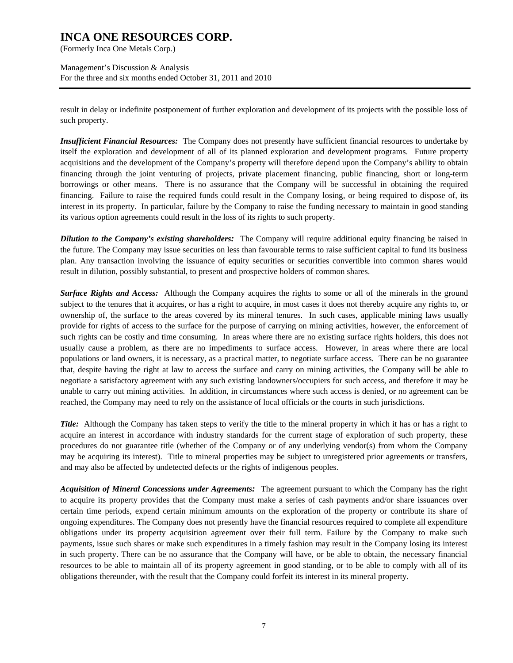(Formerly Inca One Metals Corp.)

Management's Discussion & Analysis For the three and six months ended October 31, 2011 and 2010

result in delay or indefinite postponement of further exploration and development of its projects with the possible loss of such property.

*Insufficient Financial Resources:* The Company does not presently have sufficient financial resources to undertake by itself the exploration and development of all of its planned exploration and development programs. Future property acquisitions and the development of the Company's property will therefore depend upon the Company's ability to obtain financing through the joint venturing of projects, private placement financing, public financing, short or long-term borrowings or other means. There is no assurance that the Company will be successful in obtaining the required financing. Failure to raise the required funds could result in the Company losing, or being required to dispose of, its interest in its property. In particular, failure by the Company to raise the funding necessary to maintain in good standing its various option agreements could result in the loss of its rights to such property.

*Dilution to the Company's existing shareholders:* The Company will require additional equity financing be raised in the future. The Company may issue securities on less than favourable terms to raise sufficient capital to fund its business plan. Any transaction involving the issuance of equity securities or securities convertible into common shares would result in dilution, possibly substantial, to present and prospective holders of common shares.

*Surface Rights and Access:* Although the Company acquires the rights to some or all of the minerals in the ground subject to the tenures that it acquires, or has a right to acquire, in most cases it does not thereby acquire any rights to, or ownership of, the surface to the areas covered by its mineral tenures. In such cases, applicable mining laws usually provide for rights of access to the surface for the purpose of carrying on mining activities, however, the enforcement of such rights can be costly and time consuming. In areas where there are no existing surface rights holders, this does not usually cause a problem, as there are no impediments to surface access. However, in areas where there are local populations or land owners, it is necessary, as a practical matter, to negotiate surface access. There can be no guarantee that, despite having the right at law to access the surface and carry on mining activities, the Company will be able to negotiate a satisfactory agreement with any such existing landowners/occupiers for such access, and therefore it may be unable to carry out mining activities. In addition, in circumstances where such access is denied, or no agreement can be reached, the Company may need to rely on the assistance of local officials or the courts in such jurisdictions.

*Title:* Although the Company has taken steps to verify the title to the mineral property in which it has or has a right to acquire an interest in accordance with industry standards for the current stage of exploration of such property, these procedures do not guarantee title (whether of the Company or of any underlying vendor(s) from whom the Company may be acquiring its interest). Title to mineral properties may be subject to unregistered prior agreements or transfers, and may also be affected by undetected defects or the rights of indigenous peoples.

*Acquisition of Mineral Concessions under Agreements:* The agreement pursuant to which the Company has the right to acquire its property provides that the Company must make a series of cash payments and/or share issuances over certain time periods, expend certain minimum amounts on the exploration of the property or contribute its share of ongoing expenditures. The Company does not presently have the financial resources required to complete all expenditure obligations under its property acquisition agreement over their full term. Failure by the Company to make such payments, issue such shares or make such expenditures in a timely fashion may result in the Company losing its interest in such property. There can be no assurance that the Company will have, or be able to obtain, the necessary financial resources to be able to maintain all of its property agreement in good standing, or to be able to comply with all of its obligations thereunder, with the result that the Company could forfeit its interest in its mineral property.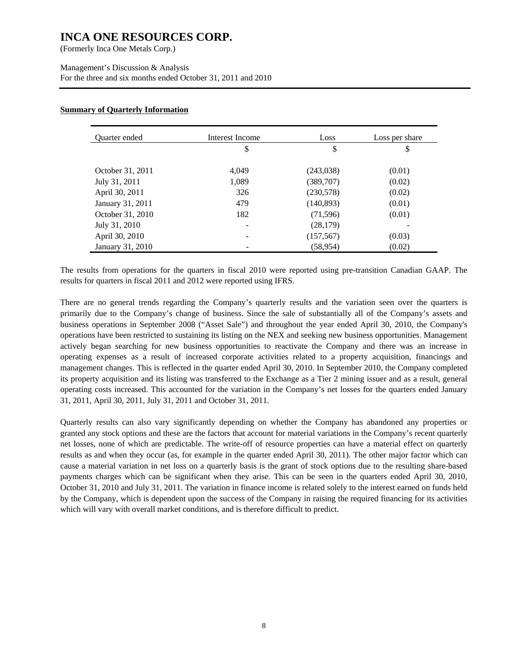(Formerly Inca One Metals Corp.)

Management's Discussion & Analysis For the three and six months ended October 31, 2011 and 2010

#### **Summary of Quarterly Information**

| Quarter ended    | Interest Income | Loss       | Loss per share |
|------------------|-----------------|------------|----------------|
|                  | \$              | \$         | \$             |
|                  |                 |            |                |
| October 31, 2011 | 4,049           | (243,038)  | (0.01)         |
| July 31, 2011    | 1,089           | (389,707)  | (0.02)         |
| April 30, 2011   | 326             | (230,578)  | (0.02)         |
| January 31, 2011 | 479             | (140, 893) | (0.01)         |
| October 31, 2010 | 182             | (71, 596)  | (0.01)         |
| July 31, 2010    |                 | (28, 179)  |                |
| April 30, 2010   |                 | (157, 567) | (0.03)         |
| January 31, 2010 |                 | (58, 954)  | (0.02)         |

The results from operations for the quarters in fiscal 2010 were reported using pre-transition Canadian GAAP. The results for quarters in fiscal 2011 and 2012 were reported using IFRS.

There are no general trends regarding the Company's quarterly results and the variation seen over the quarters is primarily due to the Company's change of business. Since the sale of substantially all of the Company's assets and business operations in September 2008 ("Asset Sale") and throughout the year ended April 30, 2010, the Company's operations have been restricted to sustaining its listing on the NEX and seeking new business opportunities. Management actively began searching for new business opportunities to reactivate the Company and there was an increase in operating expenses as a result of increased corporate activities related to a property acquisition, financings and management changes. This is reflected in the quarter ended April 30, 2010. In September 2010, the Company completed its property acquisition and its listing was transferred to the Exchange as a Tier 2 mining issuer and as a result, general operating costs increased. This accounted for the variation in the Company's net losses for the quarters ended January 31, 2011, April 30, 2011, July 31, 2011 and October 31, 2011.

Quarterly results can also vary significantly depending on whether the Company has abandoned any properties or granted any stock options and these are the factors that account for material variations in the Company's recent quarterly net losses, none of which are predictable. The write-off of resource properties can have a material effect on quarterly results as and when they occur (as, for example in the quarter ended April 30, 2011). The other major factor which can cause a material variation in net loss on a quarterly basis is the grant of stock options due to the resulting share-based payments charges which can be significant when they arise. This can be seen in the quarters ended April 30, 2010, October 31, 2010 and July 31, 2011. The variation in finance income is related solely to the interest earned on funds held by the Company, which is dependent upon the success of the Company in raising the required financing for its activities which will vary with overall market conditions, and is therefore difficult to predict.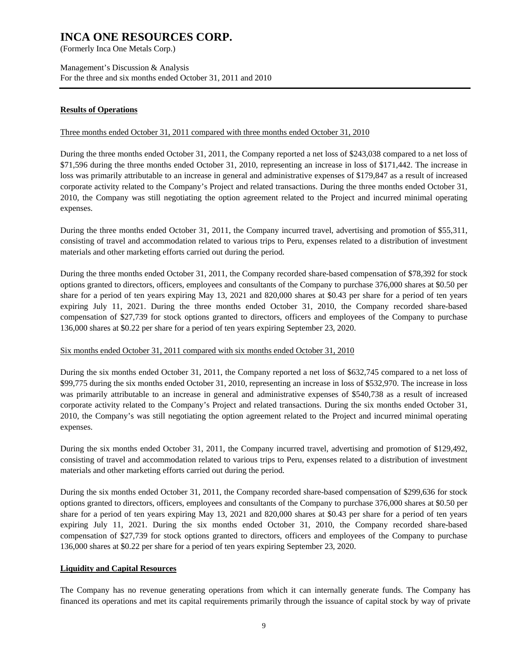(Formerly Inca One Metals Corp.)

Management's Discussion & Analysis For the three and six months ended October 31, 2011 and 2010

#### **Results of Operations**

#### Three months ended October 31, 2011 compared with three months ended October 31, 2010

During the three months ended October 31, 2011, the Company reported a net loss of \$243,038 compared to a net loss of \$71,596 during the three months ended October 31, 2010, representing an increase in loss of \$171,442. The increase in loss was primarily attributable to an increase in general and administrative expenses of \$179,847 as a result of increased corporate activity related to the Company's Project and related transactions. During the three months ended October 31, 2010, the Company was still negotiating the option agreement related to the Project and incurred minimal operating expenses.

During the three months ended October 31, 2011, the Company incurred travel, advertising and promotion of \$55,311, consisting of travel and accommodation related to various trips to Peru, expenses related to a distribution of investment materials and other marketing efforts carried out during the period.

During the three months ended October 31, 2011, the Company recorded share-based compensation of \$78,392 for stock options granted to directors, officers, employees and consultants of the Company to purchase 376,000 shares at \$0.50 per share for a period of ten years expiring May 13, 2021 and 820,000 shares at \$0.43 per share for a period of ten years expiring July 11, 2021. During the three months ended October 31, 2010, the Company recorded share-based compensation of \$27,739 for stock options granted to directors, officers and employees of the Company to purchase 136,000 shares at \$0.22 per share for a period of ten years expiring September 23, 2020.

#### Six months ended October 31, 2011 compared with six months ended October 31, 2010

During the six months ended October 31, 2011, the Company reported a net loss of \$632,745 compared to a net loss of \$99,775 during the six months ended October 31, 2010, representing an increase in loss of \$532,970. The increase in loss was primarily attributable to an increase in general and administrative expenses of \$540,738 as a result of increased corporate activity related to the Company's Project and related transactions. During the six months ended October 31, 2010, the Company's was still negotiating the option agreement related to the Project and incurred minimal operating expenses.

During the six months ended October 31, 2011, the Company incurred travel, advertising and promotion of \$129,492, consisting of travel and accommodation related to various trips to Peru, expenses related to a distribution of investment materials and other marketing efforts carried out during the period.

During the six months ended October 31, 2011, the Company recorded share-based compensation of \$299,636 for stock options granted to directors, officers, employees and consultants of the Company to purchase 376,000 shares at \$0.50 per share for a period of ten years expiring May 13, 2021 and 820,000 shares at \$0.43 per share for a period of ten years expiring July 11, 2021. During the six months ended October 31, 2010, the Company recorded share-based compensation of \$27,739 for stock options granted to directors, officers and employees of the Company to purchase 136,000 shares at \$0.22 per share for a period of ten years expiring September 23, 2020.

### **Liquidity and Capital Resources**

The Company has no revenue generating operations from which it can internally generate funds. The Company has financed its operations and met its capital requirements primarily through the issuance of capital stock by way of private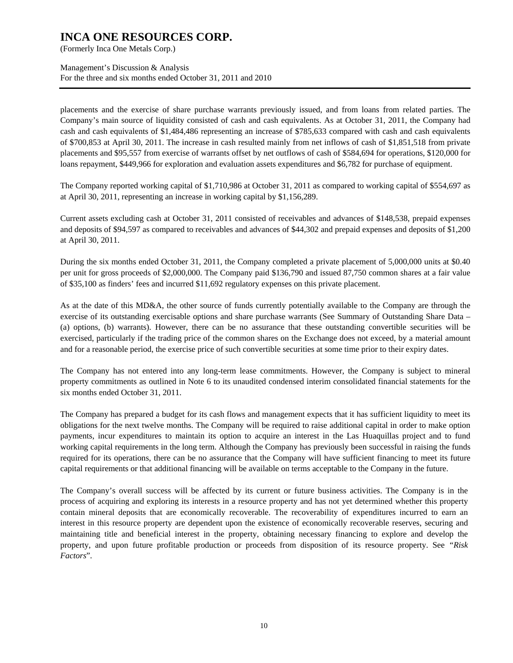(Formerly Inca One Metals Corp.)

Management's Discussion & Analysis For the three and six months ended October 31, 2011 and 2010

placements and the exercise of share purchase warrants previously issued, and from loans from related parties. The Company's main source of liquidity consisted of cash and cash equivalents. As at October 31, 2011, the Company had cash and cash equivalents of \$1,484,486 representing an increase of \$785,633 compared with cash and cash equivalents of \$700,853 at April 30, 2011. The increase in cash resulted mainly from net inflows of cash of \$1,851,518 from private placements and \$95,557 from exercise of warrants offset by net outflows of cash of \$584,694 for operations, \$120,000 for loans repayment, \$449,966 for exploration and evaluation assets expenditures and \$6,782 for purchase of equipment.

The Company reported working capital of \$1,710,986 at October 31, 2011 as compared to working capital of \$554,697 as at April 30, 2011, representing an increase in working capital by \$1,156,289.

Current assets excluding cash at October 31, 2011 consisted of receivables and advances of \$148,538, prepaid expenses and deposits of \$94,597 as compared to receivables and advances of \$44,302 and prepaid expenses and deposits of \$1,200 at April 30, 2011.

During the six months ended October 31, 2011, the Company completed a private placement of 5,000,000 units at \$0.40 per unit for gross proceeds of \$2,000,000. The Company paid \$136,790 and issued 87,750 common shares at a fair value of \$35,100 as finders' fees and incurred \$11,692 regulatory expenses on this private placement.

As at the date of this MD&A, the other source of funds currently potentially available to the Company are through the exercise of its outstanding exercisable options and share purchase warrants (See Summary of Outstanding Share Data – (a) options, (b) warrants). However, there can be no assurance that these outstanding convertible securities will be exercised, particularly if the trading price of the common shares on the Exchange does not exceed, by a material amount and for a reasonable period, the exercise price of such convertible securities at some time prior to their expiry dates.

The Company has not entered into any long-term lease commitments. However, the Company is subject to mineral property commitments as outlined in Note 6 to its unaudited condensed interim consolidated financial statements for the six months ended October 31, 2011.

The Company has prepared a budget for its cash flows and management expects that it has sufficient liquidity to meet its obligations for the next twelve months. The Company will be required to raise additional capital in order to make option payments, incur expenditures to maintain its option to acquire an interest in the Las Huaquillas project and to fund working capital requirements in the long term. Although the Company has previously been successful in raising the funds required for its operations, there can be no assurance that the Company will have sufficient financing to meet its future capital requirements or that additional financing will be available on terms acceptable to the Company in the future.

The Company's overall success will be affected by its current or future business activities. The Company is in the process of acquiring and exploring its interests in a resource property and has not yet determined whether this property contain mineral deposits that are economically recoverable. The recoverability of expenditures incurred to earn an interest in this resource property are dependent upon the existence of economically recoverable reserves, securing and maintaining title and beneficial interest in the property, obtaining necessary financing to explore and develop the property, and upon future profitable production or proceeds from disposition of its resource property. See *"Risk Factors*".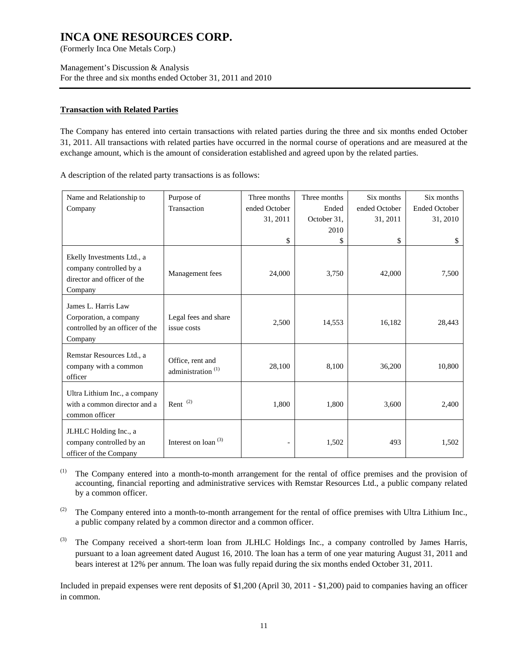(Formerly Inca One Metals Corp.)

Management's Discussion & Analysis For the three and six months ended October 31, 2011 and 2010

#### **Transaction with Related Parties**

The Company has entered into certain transactions with related parties during the three and six months ended October 31, 2011. All transactions with related parties have occurred in the normal course of operations and are measured at the exchange amount, which is the amount of consideration established and agreed upon by the related parties.

A description of the related party transactions is as follows:

| Name and Relationship to                                                                        | Purpose of                                        | Three months             | Three months | Six months    | Six months           |
|-------------------------------------------------------------------------------------------------|---------------------------------------------------|--------------------------|--------------|---------------|----------------------|
| Company                                                                                         | Transaction                                       | ended October            | Ended        | ended October | <b>Ended October</b> |
|                                                                                                 |                                                   | 31, 2011                 | October 31,  | 31, 2011      | 31, 2010             |
|                                                                                                 |                                                   |                          | 2010         |               |                      |
|                                                                                                 |                                                   | \$                       | \$           | \$            | \$                   |
| Ekelly Investments Ltd., a<br>company controlled by a<br>director and officer of the<br>Company | Management fees                                   | 24,000                   | 3,750        | 42,000        | 7,500                |
| James L. Harris Law<br>Corporation, a company<br>controlled by an officer of the<br>Company     | Legal fees and share<br>issue costs               | 2,500                    | 14,553       | 16,182        | 28,443               |
| Remstar Resources Ltd., a<br>company with a common<br>officer                                   | Office, rent and<br>administration <sup>(1)</sup> | 28,100                   | 8,100        | 36,200        | 10,800               |
| Ultra Lithium Inc., a company<br>with a common director and a<br>common officer                 | Rent <sup>(2)</sup>                               | 1,800                    | 1,800        | 3,600         | 2,400                |
| JLHLC Holding Inc., a<br>company controlled by an<br>officer of the Company                     | Interest on loan $(3)$                            | $\overline{\phantom{0}}$ | 1,502        | 493           | 1,502                |

(1) The Company entered into a month-to-month arrangement for the rental of office premises and the provision of accounting, financial reporting and administrative services with Remstar Resources Ltd., a public company related by a common officer.

- (2) The Company entered into a month-to-month arrangement for the rental of office premises with Ultra Lithium Inc., a public company related by a common director and a common officer.
- (3) The Company received a short-term loan from JLHLC Holdings Inc., a company controlled by James Harris, pursuant to a loan agreement dated August 16, 2010. The loan has a term of one year maturing August 31, 2011 and bears interest at 12% per annum. The loan was fully repaid during the six months ended October 31, 2011.

Included in prepaid expenses were rent deposits of \$1,200 (April 30, 2011 - \$1,200) paid to companies having an officer in common.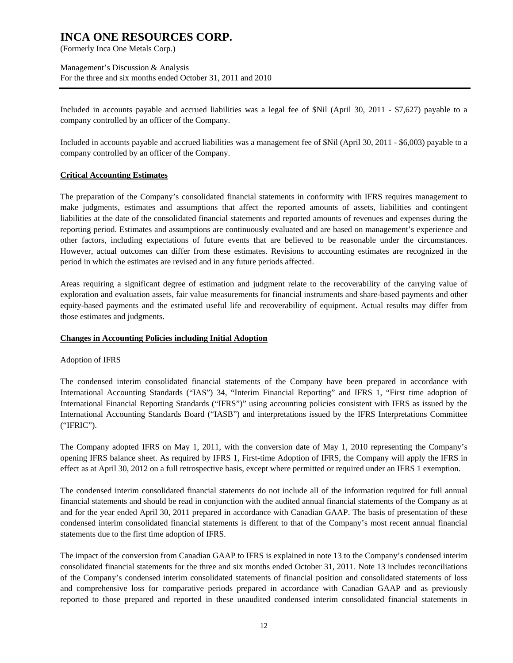(Formerly Inca One Metals Corp.)

Management's Discussion & Analysis For the three and six months ended October 31, 2011 and 2010

Included in accounts payable and accrued liabilities was a legal fee of \$Nil (April 30, 2011 - \$7,627) payable to a company controlled by an officer of the Company.

Included in accounts payable and accrued liabilities was a management fee of \$Nil (April 30, 2011 - \$6,003) payable to a company controlled by an officer of the Company.

### **Critical Accounting Estimates**

The preparation of the Company's consolidated financial statements in conformity with IFRS requires management to make judgments, estimates and assumptions that affect the reported amounts of assets, liabilities and contingent liabilities at the date of the consolidated financial statements and reported amounts of revenues and expenses during the reporting period. Estimates and assumptions are continuously evaluated and are based on management's experience and other factors, including expectations of future events that are believed to be reasonable under the circumstances. However, actual outcomes can differ from these estimates. Revisions to accounting estimates are recognized in the period in which the estimates are revised and in any future periods affected.

Areas requiring a significant degree of estimation and judgment relate to the recoverability of the carrying value of exploration and evaluation assets, fair value measurements for financial instruments and share-based payments and other equity-based payments and the estimated useful life and recoverability of equipment. Actual results may differ from those estimates and judgments.

### **Changes in Accounting Policies including Initial Adoption**

### Adoption of IFRS

The condensed interim consolidated financial statements of the Company have been prepared in accordance with International Accounting Standards ("IAS") 34, "Interim Financial Reporting" and IFRS 1, "First time adoption of International Financial Reporting Standards ("IFRS")" using accounting policies consistent with IFRS as issued by the International Accounting Standards Board ("IASB") and interpretations issued by the IFRS Interpretations Committee ("IFRIC").

The Company adopted IFRS on May 1, 2011, with the conversion date of May 1, 2010 representing the Company's opening IFRS balance sheet. As required by IFRS 1, First-time Adoption of IFRS, the Company will apply the IFRS in effect as at April 30, 2012 on a full retrospective basis, except where permitted or required under an IFRS 1 exemption.

The condensed interim consolidated financial statements do not include all of the information required for full annual financial statements and should be read in conjunction with the audited annual financial statements of the Company as at and for the year ended April 30, 2011 prepared in accordance with Canadian GAAP. The basis of presentation of these condensed interim consolidated financial statements is different to that of the Company's most recent annual financial statements due to the first time adoption of IFRS.

The impact of the conversion from Canadian GAAP to IFRS is explained in note 13 to the Company's condensed interim consolidated financial statements for the three and six months ended October 31, 2011. Note 13 includes reconciliations of the Company's condensed interim consolidated statements of financial position and consolidated statements of loss and comprehensive loss for comparative periods prepared in accordance with Canadian GAAP and as previously reported to those prepared and reported in these unaudited condensed interim consolidated financial statements in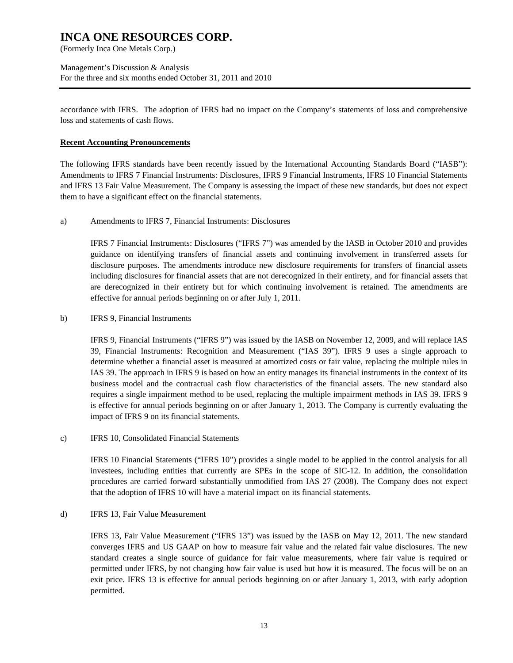(Formerly Inca One Metals Corp.)

Management's Discussion & Analysis For the three and six months ended October 31, 2011 and 2010

accordance with IFRS. The adoption of IFRS had no impact on the Company's statements of loss and comprehensive loss and statements of cash flows.

#### **Recent Accounting Pronouncements**

The following IFRS standards have been recently issued by the International Accounting Standards Board ("IASB"): Amendments to IFRS 7 Financial Instruments: Disclosures, IFRS 9 Financial Instruments, IFRS 10 Financial Statements and IFRS 13 Fair Value Measurement. The Company is assessing the impact of these new standards, but does not expect them to have a significant effect on the financial statements.

a) Amendments to IFRS 7, Financial Instruments: Disclosures

IFRS 7 Financial Instruments: Disclosures ("IFRS 7") was amended by the IASB in October 2010 and provides guidance on identifying transfers of financial assets and continuing involvement in transferred assets for disclosure purposes. The amendments introduce new disclosure requirements for transfers of financial assets including disclosures for financial assets that are not derecognized in their entirety, and for financial assets that are derecognized in their entirety but for which continuing involvement is retained. The amendments are effective for annual periods beginning on or after July 1, 2011.

b) IFRS 9, Financial Instruments

IFRS 9, Financial Instruments ("IFRS 9") was issued by the IASB on November 12, 2009, and will replace IAS 39, Financial Instruments: Recognition and Measurement ("IAS 39"). IFRS 9 uses a single approach to determine whether a financial asset is measured at amortized costs or fair value, replacing the multiple rules in IAS 39. The approach in IFRS 9 is based on how an entity manages its financial instruments in the context of its business model and the contractual cash flow characteristics of the financial assets. The new standard also requires a single impairment method to be used, replacing the multiple impairment methods in IAS 39. IFRS 9 is effective for annual periods beginning on or after January 1, 2013. The Company is currently evaluating the impact of IFRS 9 on its financial statements.

c) IFRS 10, Consolidated Financial Statements

IFRS 10 Financial Statements ("IFRS 10") provides a single model to be applied in the control analysis for all investees, including entities that currently are SPEs in the scope of SIC-12. In addition, the consolidation procedures are carried forward substantially unmodified from IAS 27 (2008). The Company does not expect that the adoption of IFRS 10 will have a material impact on its financial statements.

### d) IFRS 13, Fair Value Measurement

IFRS 13, Fair Value Measurement ("IFRS 13") was issued by the IASB on May 12, 2011. The new standard converges IFRS and US GAAP on how to measure fair value and the related fair value disclosures. The new standard creates a single source of guidance for fair value measurements, where fair value is required or permitted under IFRS, by not changing how fair value is used but how it is measured. The focus will be on an exit price. IFRS 13 is effective for annual periods beginning on or after January 1, 2013, with early adoption permitted.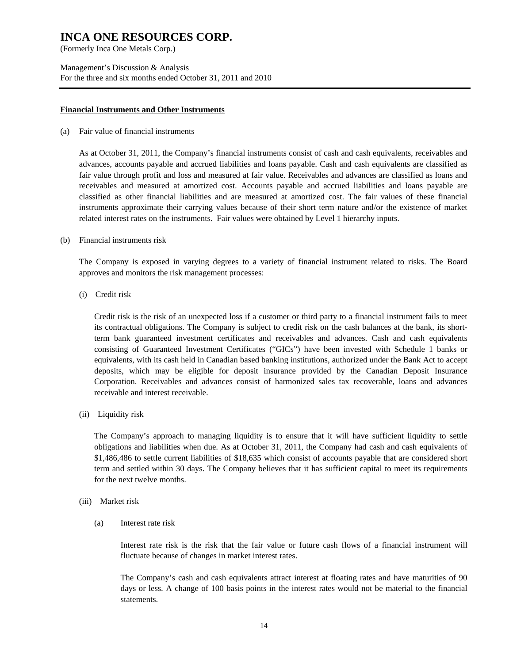(Formerly Inca One Metals Corp.)

Management's Discussion & Analysis For the three and six months ended October 31, 2011 and 2010

#### **Financial Instruments and Other Instruments**

(a) Fair value of financial instruments

As at October 31, 2011, the Company's financial instruments consist of cash and cash equivalents, receivables and advances, accounts payable and accrued liabilities and loans payable. Cash and cash equivalents are classified as fair value through profit and loss and measured at fair value. Receivables and advances are classified as loans and receivables and measured at amortized cost. Accounts payable and accrued liabilities and loans payable are classified as other financial liabilities and are measured at amortized cost. The fair values of these financial instruments approximate their carrying values because of their short term nature and/or the existence of market related interest rates on the instruments. Fair values were obtained by Level 1 hierarchy inputs.

#### (b) Financial instruments risk

The Company is exposed in varying degrees to a variety of financial instrument related to risks. The Board approves and monitors the risk management processes:

(i) Credit risk

Credit risk is the risk of an unexpected loss if a customer or third party to a financial instrument fails to meet its contractual obligations. The Company is subject to credit risk on the cash balances at the bank, its shortterm bank guaranteed investment certificates and receivables and advances. Cash and cash equivalents consisting of Guaranteed Investment Certificates ("GICs") have been invested with Schedule 1 banks or equivalents, with its cash held in Canadian based banking institutions, authorized under the Bank Act to accept deposits, which may be eligible for deposit insurance provided by the Canadian Deposit Insurance Corporation. Receivables and advances consist of harmonized sales tax recoverable, loans and advances receivable and interest receivable.

(ii) Liquidity risk

The Company's approach to managing liquidity is to ensure that it will have sufficient liquidity to settle obligations and liabilities when due. As at October 31, 2011, the Company had cash and cash equivalents of \$1,486,486 to settle current liabilities of \$18,635 which consist of accounts payable that are considered short term and settled within 30 days. The Company believes that it has sufficient capital to meet its requirements for the next twelve months.

- (iii) Market risk
	- (a) Interest rate risk

Interest rate risk is the risk that the fair value or future cash flows of a financial instrument will fluctuate because of changes in market interest rates.

The Company's cash and cash equivalents attract interest at floating rates and have maturities of 90 days or less. A change of 100 basis points in the interest rates would not be material to the financial statements.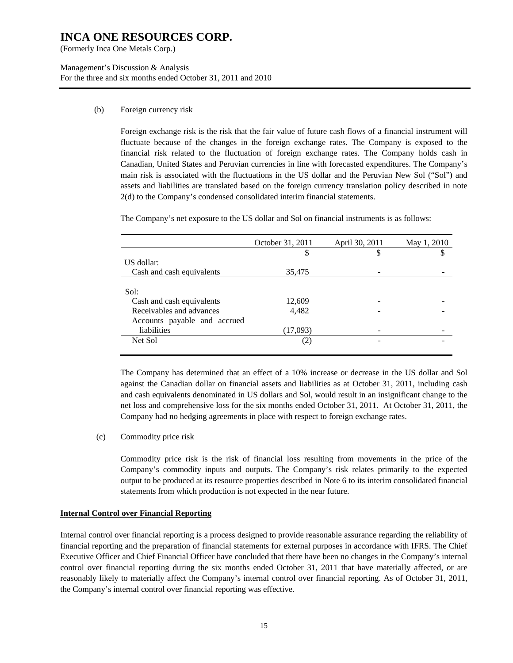(Formerly Inca One Metals Corp.)

### Management's Discussion & Analysis For the three and six months ended October 31, 2011 and 2010

#### (b) Foreign currency risk

Foreign exchange risk is the risk that the fair value of future cash flows of a financial instrument will fluctuate because of the changes in the foreign exchange rates. The Company is exposed to the financial risk related to the fluctuation of foreign exchange rates. The Company holds cash in Canadian, United States and Peruvian currencies in line with forecasted expenditures. The Company's main risk is associated with the fluctuations in the US dollar and the Peruvian New Sol ("Sol") and assets and liabilities are translated based on the foreign currency translation policy described in note 2(d) to the Company's condensed consolidated interim financial statements.

The Company's net exposure to the US dollar and Sol on financial instruments is as follows:

|                              | October 31, 2011  | April 30, 2011 | May 1, 2010 |
|------------------------------|-------------------|----------------|-------------|
|                              | \$                | S              |             |
| US dollar:                   |                   |                |             |
| Cash and cash equivalents    | 35,475            |                |             |
|                              |                   |                |             |
| Sol:                         |                   |                |             |
| Cash and cash equivalents    | 12,609            |                |             |
| Receivables and advances     | 4,482             |                |             |
| Accounts payable and accrued |                   |                |             |
| liabilities                  | (17,093)          |                |             |
| Net Sol                      | $\left( 2\right)$ |                |             |
|                              |                   |                |             |

The Company has determined that an effect of a 10% increase or decrease in the US dollar and Sol against the Canadian dollar on financial assets and liabilities as at October 31, 2011, including cash and cash equivalents denominated in US dollars and Sol, would result in an insignificant change to the net loss and comprehensive loss for the six months ended October 31, 2011. At October 31, 2011, the Company had no hedging agreements in place with respect to foreign exchange rates.

(c) Commodity price risk

Commodity price risk is the risk of financial loss resulting from movements in the price of the Company's commodity inputs and outputs. The Company's risk relates primarily to the expected output to be produced at its resource properties described in Note 6 to its interim consolidated financial statements from which production is not expected in the near future.

### **Internal Control over Financial Reporting**

Internal control over financial reporting is a process designed to provide reasonable assurance regarding the reliability of financial reporting and the preparation of financial statements for external purposes in accordance with IFRS. The Chief Executive Officer and Chief Financial Officer have concluded that there have been no changes in the Company's internal control over financial reporting during the six months ended October 31, 2011 that have materially affected, or are reasonably likely to materially affect the Company's internal control over financial reporting. As of October 31, 2011, the Company's internal control over financial reporting was effective.